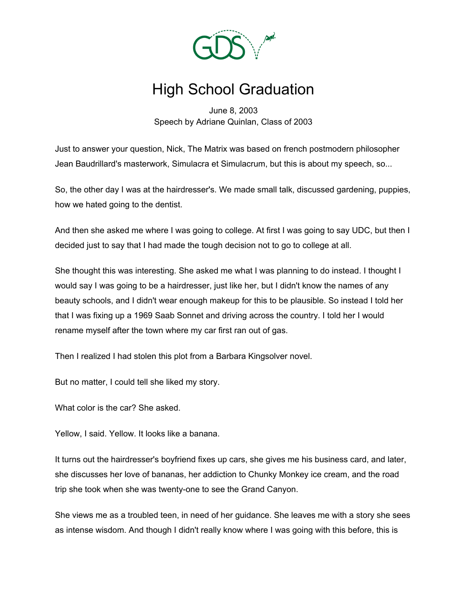

## High School Graduation

June 8, 2003 Speech by Adriane Quinlan, Class of 2003

Just to answer your question, Nick, The Matrix was based on french postmodern philosopher Jean Baudrillard's masterwork, Simulacra et Simulacrum, but this is about my speech, so...

So, the other day I was at the hairdresser's. We made small talk, discussed gardening, puppies, how we hated going to the dentist.

And then she asked me where I was going to college. At first I was going to say UDC, but then I decided just to say that I had made the tough decision not to go to college at all.

She thought this was interesting. She asked me what I was planning to do instead. I thought I would say I was going to be a hairdresser, just like her, but I didn't know the names of any beauty schools, and I didn't wear enough makeup for this to be plausible. So instead I told her that I was fixing up a 1969 Saab Sonnet and driving across the country. I told her I would rename myself after the town where my car first ran out of gas.

Then I realized I had stolen this plot from a Barbara Kingsolver novel.

But no matter, I could tell she liked my story.

What color is the car? She asked.

Yellow, I said. Yellow. It looks like a banana.

It turns out the hairdresser's boyfriend fixes up cars, she gives me his business card, and later, she discusses her love of bananas, her addiction to Chunky Monkey ice cream, and the road trip she took when she was twenty-one to see the Grand Canyon.

She views me as a troubled teen, in need of her guidance. She leaves me with a story she sees as intense wisdom. And though I didn't really know where I was going with this before, this is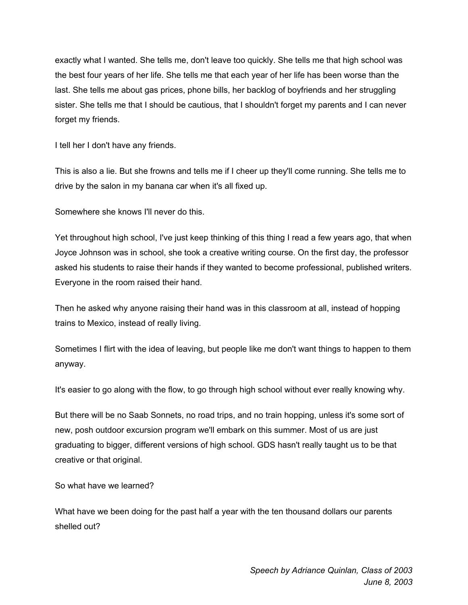exactly what I wanted. She tells me, don't leave too quickly. She tells me that high school was the best four years of her life. She tells me that each year of her life has been worse than the last. She tells me about gas prices, phone bills, her backlog of boyfriends and her struggling sister. She tells me that I should be cautious, that I shouldn't forget my parents and I can never forget my friends.

I tell her I don't have any friends.

This is also a lie. But she frowns and tells me if I cheer up they'll come running. She tells me to drive by the salon in my banana car when it's all fixed up.

Somewhere she knows I'll never do this.

Yet throughout high school, I've just keep thinking of this thing I read a few years ago, that when Joyce Johnson was in school, she took a creative writing course. On the first day, the professor asked his students to raise their hands if they wanted to become professional, published writers. Everyone in the room raised their hand.

Then he asked why anyone raising their hand was in this classroom at all, instead of hopping trains to Mexico, instead of really living.

Sometimes I flirt with the idea of leaving, but people like me don't want things to happen to them anyway.

It's easier to go along with the flow, to go through high school without ever really knowing why.

But there will be no Saab Sonnets, no road trips, and no train hopping, unless it's some sort of new, posh outdoor excursion program we'll embark on this summer. Most of us are just graduating to bigger, different versions of high school. GDS hasn't really taught us to be that creative or that original.

So what have we learned?

What have we been doing for the past half a year with the ten thousand dollars our parents shelled out?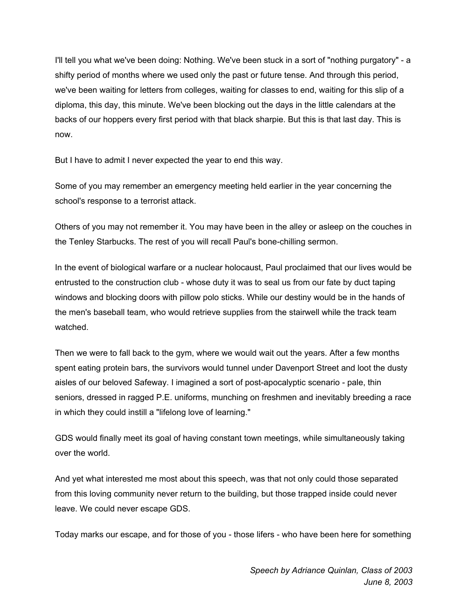I'll tell you what we've been doing: Nothing. We've been stuck in a sort of "nothing purgatory" - a shifty period of months where we used only the past or future tense. And through this period, we've been waiting for letters from colleges, waiting for classes to end, waiting for this slip of a diploma, this day, this minute. We've been blocking out the days in the little calendars at the backs of our hoppers every first period with that black sharpie. But this is that last day. This is now.

But I have to admit I never expected the year to end this way.

Some of you may remember an emergency meeting held earlier in the year concerning the school's response to a terrorist attack.

Others of you may not remember it. You may have been in the alley or asleep on the couches in the Tenley Starbucks. The rest of you will recall Paul's bone-chilling sermon.

In the event of biological warfare or a nuclear holocaust, Paul proclaimed that our lives would be entrusted to the construction club - whose duty it was to seal us from our fate by duct taping windows and blocking doors with pillow polo sticks. While our destiny would be in the hands of the men's baseball team, who would retrieve supplies from the stairwell while the track team watched.

Then we were to fall back to the gym, where we would wait out the years. After a few months spent eating protein bars, the survivors would tunnel under Davenport Street and loot the dusty aisles of our beloved Safeway. I imagined a sort of post-apocalyptic scenario - pale, thin seniors, dressed in ragged P.E. uniforms, munching on freshmen and inevitably breeding a race in which they could instill a "lifelong love of learning."

GDS would finally meet its goal of having constant town meetings, while simultaneously taking over the world.

And yet what interested me most about this speech, was that not only could those separated from this loving community never return to the building, but those trapped inside could never leave. We could never escape GDS.

Today marks our escape, and for those of you - those lifers - who have been here for something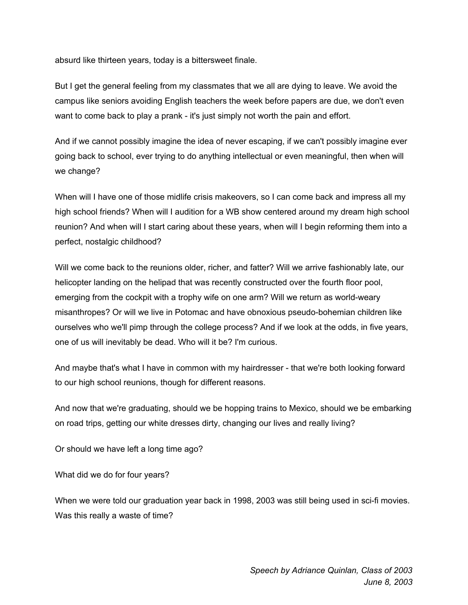absurd like thirteen years, today is a bittersweet finale.

But I get the general feeling from my classmates that we all are dying to leave. We avoid the campus like seniors avoiding English teachers the week before papers are due, we don't even want to come back to play a prank - it's just simply not worth the pain and effort.

And if we cannot possibly imagine the idea of never escaping, if we can't possibly imagine ever going back to school, ever trying to do anything intellectual or even meaningful, then when will we change?

When will I have one of those midlife crisis makeovers, so I can come back and impress all my high school friends? When will I audition for a WB show centered around my dream high school reunion? And when will I start caring about these years, when will I begin reforming them into a perfect, nostalgic childhood?

Will we come back to the reunions older, richer, and fatter? Will we arrive fashionably late, our helicopter landing on the helipad that was recently constructed over the fourth floor pool, emerging from the cockpit with a trophy wife on one arm? Will we return as world-weary misanthropes? Or will we live in Potomac and have obnoxious pseudo-bohemian children like ourselves who we'll pimp through the college process? And if we look at the odds, in five years, one of us will inevitably be dead. Who will it be? I'm curious.

And maybe that's what I have in common with my hairdresser - that we're both looking forward to our high school reunions, though for different reasons.

And now that we're graduating, should we be hopping trains to Mexico, should we be embarking on road trips, getting our white dresses dirty, changing our lives and really living?

Or should we have left a long time ago?

What did we do for four years?

When we were told our graduation year back in 1998, 2003 was still being used in sci-fi movies. Was this really a waste of time?